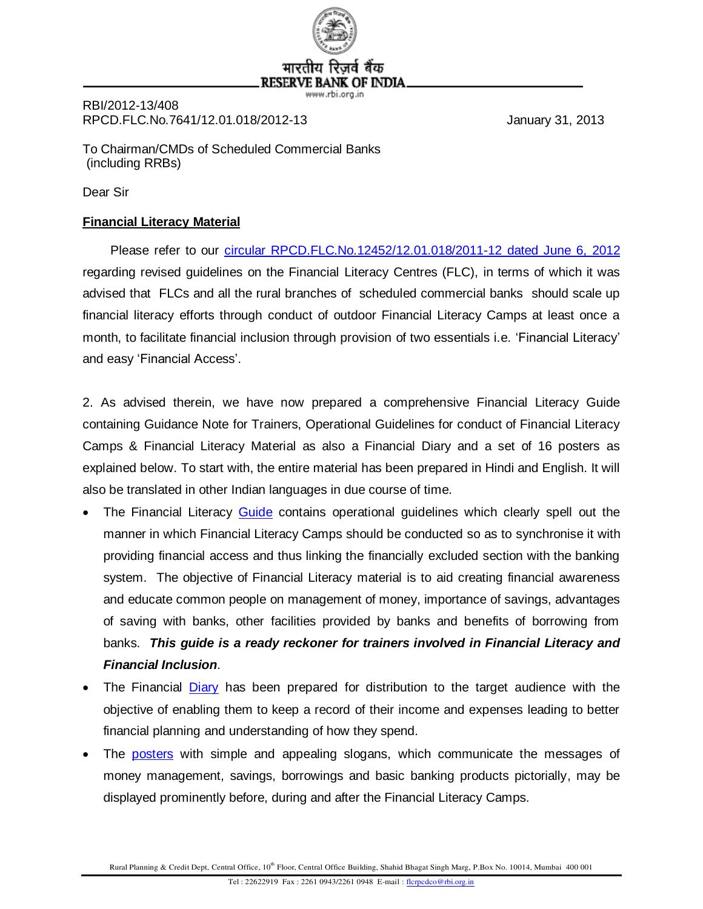

जते बैक **RESERVE B/** IF INDIA

www.rbi.ora.in

RBI/2012-13/408 RPCD.FLC.No.7641/12.01.018/2012-13 January 31, 2013

To Chairman/CMDs of Scheduled Commercial Banks (including RRBs)

Dear Sir

# **Financial Literacy Material**

 Please refer to our [circular RPCD.FLC.No.12452/12.01.018/2011-12 dated June 6, 2012](http://rbi.org.in/scripts/NotificationUser.aspx?Id=7259&Mode=0) regarding revised guidelines on the Financial Literacy Centres (FLC), in terms of which it was advised that FLCs and all the rural branches of scheduled commercial banks should scale up financial literacy efforts through conduct of outdoor Financial Literacy Camps at least once a month, to facilitate financial inclusion through provision of two essentials i.e. 'Financial Literacy' and easy 'Financial Access'.

2. As advised therein, we have now prepared a comprehensive Financial Literacy Guide containing Guidance Note for Trainers, Operational Guidelines for conduct of Financial Literacy Camps & Financial Literacy Material as also a Financial Diary and a set of 16 posters as explained below. To start with, the entire material has been prepared in Hindi and English. It will also be translated in other Indian languages in due course of time.

- The Financial Literacy [Guide](http://rbidocs.rbi.org.in/rdocs/content/pdfs/GUIDE310113_F.pdf) contains operational guidelines which clearly spell out the manner in which Financial Literacy Camps should be conducted so as to synchronise it with providing financial access and thus linking the financially excluded section with the banking system. The objective of Financial Literacy material is to aid creating financial awareness and educate common people on management of money, importance of savings, advantages of saving with banks, other facilities provided by banks and benefits of borrowing from banks. *This guide is a ready reckoner for trainers involved in Financial Literacy and Financial Inclusion*.
- The Financial [Diary](http://rbidocs.rbi.org.in/rdocs/content/pdfs/DIARYE310113_F.pdf) has been prepared for distribution to the target audience with the objective of enabling them to keep a record of their income and expenses leading to better financial planning and understanding of how they spend.
- The [posters](http://rbidocs.rbi.org.in/rdocs/content/pdfs/POST310113_Full.pdf) with simple and appealing slogans, which communicate the messages of money management, savings, borrowings and basic banking products pictorially, may be displayed prominently before, during and after the Financial Literacy Camps.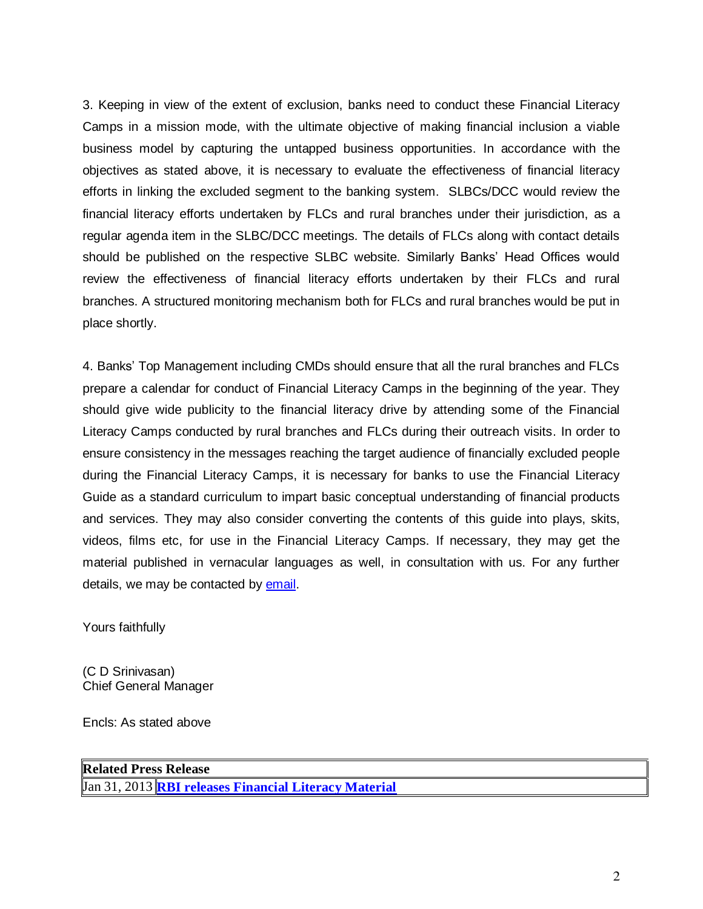3. Keeping in view of the extent of exclusion, banks need to conduct these Financial Literacy Camps in a mission mode, with the ultimate objective of making financial inclusion a viable business model by capturing the untapped business opportunities. In accordance with the objectives as stated above, it is necessary to evaluate the effectiveness of financial literacy efforts in linking the excluded segment to the banking system. SLBCs/DCC would review the financial literacy efforts undertaken by FLCs and rural branches under their jurisdiction, as a regular agenda item in the SLBC/DCC meetings. The details of FLCs along with contact details should be published on the respective SLBC website. Similarly Banks' Head Offices would review the effectiveness of financial literacy efforts undertaken by their FLCs and rural branches. A structured monitoring mechanism both for FLCs and rural branches would be put in place shortly.

4. Banks' Top Management including CMDs should ensure that all the rural branches and FLCs prepare a calendar for conduct of Financial Literacy Camps in the beginning of the year. They should give wide publicity to the financial literacy drive by attending some of the Financial Literacy Camps conducted by rural branches and FLCs during their outreach visits. In order to ensure consistency in the messages reaching the target audience of financially excluded people during the Financial Literacy Camps, it is necessary for banks to use the Financial Literacy Guide as a standard curriculum to impart basic conceptual understanding of financial products and services. They may also consider converting the contents of this guide into plays, skits, videos, films etc, for use in the Financial Literacy Camps. If necessary, they may get the material published in vernacular languages as well, in consultation with us. For any further details, we may be contacted by [email.](mailto:flcrpcdco@rbi.org.in)

Yours faithfully

(C D Srinivasan) Chief General Manager

Encls: As stated above

**Related Press Release** Jan 31, 2013 **[RBI releases Financial Literacy Material](http://rbi.org.in/scripts/BS_PressReleaseDisplay.aspx?prid=28057)**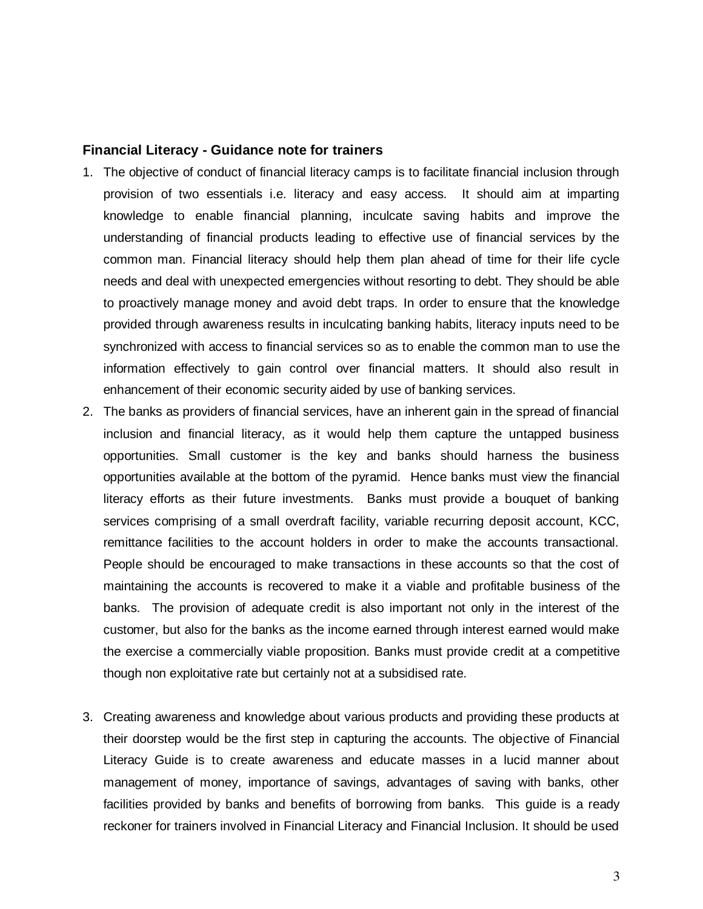#### **Financial Literacy - Guidance note for trainers**

- 1. The objective of conduct of financial literacy camps is to facilitate financial inclusion through provision of two essentials i.e. literacy and easy access. It should aim at imparting knowledge to enable financial planning, inculcate saving habits and improve the understanding of financial products leading to effective use of financial services by the common man. Financial literacy should help them plan ahead of time for their life cycle needs and deal with unexpected emergencies without resorting to debt. They should be able to proactively manage money and avoid debt traps. In order to ensure that the knowledge provided through awareness results in inculcating banking habits, literacy inputs need to be synchronized with access to financial services so as to enable the common man to use the information effectively to gain control over financial matters. It should also result in enhancement of their economic security aided by use of banking services.
- 2. The banks as providers of financial services, have an inherent gain in the spread of financial inclusion and financial literacy, as it would help them capture the untapped business opportunities. Small customer is the key and banks should harness the business opportunities available at the bottom of the pyramid. Hence banks must view the financial literacy efforts as their future investments. Banks must provide a bouquet of banking services comprising of a small overdraft facility, variable recurring deposit account, KCC, remittance facilities to the account holders in order to make the accounts transactional. People should be encouraged to make transactions in these accounts so that the cost of maintaining the accounts is recovered to make it a viable and profitable business of the banks. The provision of adequate credit is also important not only in the interest of the customer, but also for the banks as the income earned through interest earned would make the exercise a commercially viable proposition. Banks must provide credit at a competitive though non exploitative rate but certainly not at a subsidised rate.
- 3. Creating awareness and knowledge about various products and providing these products at their doorstep would be the first step in capturing the accounts. The objective of Financial Literacy Guide is to create awareness and educate masses in a lucid manner about management of money, importance of savings, advantages of saving with banks, other facilities provided by banks and benefits of borrowing from banks. This guide is a ready reckoner for trainers involved in Financial Literacy and Financial Inclusion. It should be used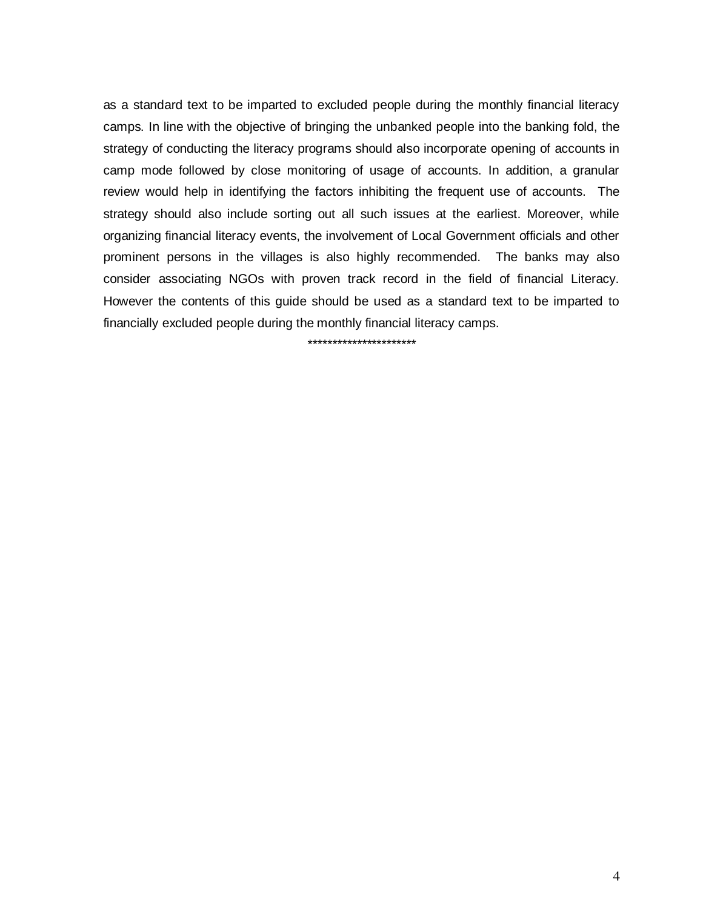as a standard text to be imparted to excluded people during the monthly financial literacy camps. In line with the objective of bringing the unbanked people into the banking fold, the strategy of conducting the literacy programs should also incorporate opening of accounts in camp mode followed by close monitoring of usage of accounts. In addition, a granular review would help in identifying the factors inhibiting the frequent use of accounts. The strategy should also include sorting out all such issues at the earliest. Moreover, while organizing financial literacy events, the involvement of Local Government officials and other prominent persons in the villages is also highly recommended. The banks may also consider associating NGOs with proven track record in the field of financial Literacy. However the contents of this guide should be used as a standard text to be imparted to financially excluded people during the monthly financial literacy camps.

\*\*\*\*\*\*\*\*\*\*\*\*\*\*\*\*\*\*\*\*\*\*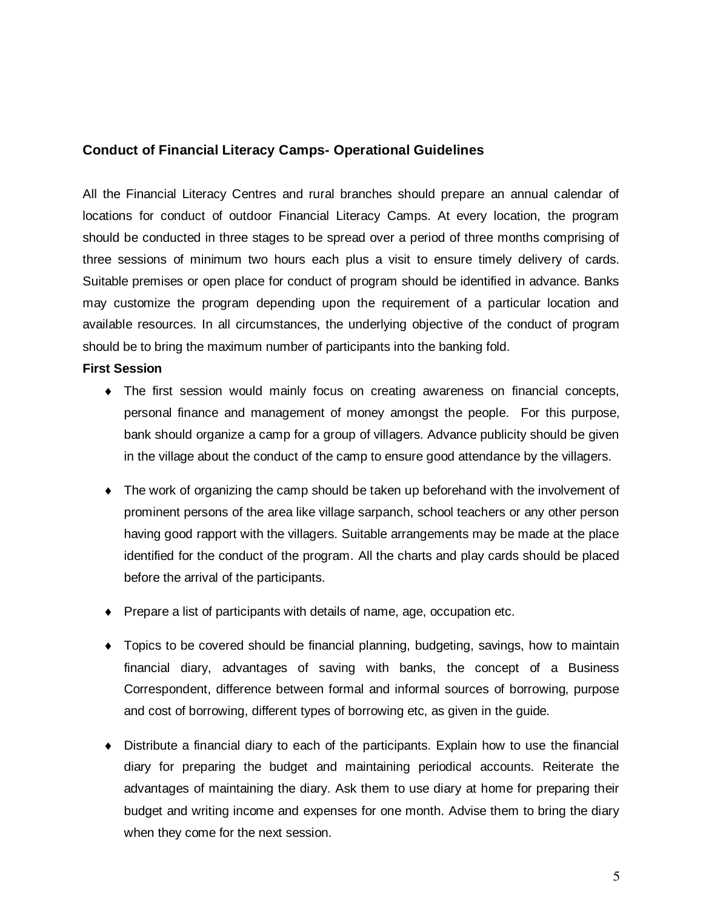## **Conduct of Financial Literacy Camps- Operational Guidelines**

All the Financial Literacy Centres and rural branches should prepare an annual calendar of locations for conduct of outdoor Financial Literacy Camps. At every location, the program should be conducted in three stages to be spread over a period of three months comprising of three sessions of minimum two hours each plus a visit to ensure timely delivery of cards. Suitable premises or open place for conduct of program should be identified in advance. Banks may customize the program depending upon the requirement of a particular location and available resources. In all circumstances, the underlying objective of the conduct of program should be to bring the maximum number of participants into the banking fold.

#### **First Session**

- The first session would mainly focus on creating awareness on financial concepts, personal finance and management of money amongst the people. For this purpose, bank should organize a camp for a group of villagers. Advance publicity should be given in the village about the conduct of the camp to ensure good attendance by the villagers.
- The work of organizing the camp should be taken up beforehand with the involvement of prominent persons of the area like village sarpanch, school teachers or any other person having good rapport with the villagers. Suitable arrangements may be made at the place identified for the conduct of the program. All the charts and play cards should be placed before the arrival of the participants.
- Prepare a list of participants with details of name, age, occupation etc.
- Topics to be covered should be financial planning, budgeting, savings, how to maintain financial diary, advantages of saving with banks, the concept of a Business Correspondent, difference between formal and informal sources of borrowing, purpose and cost of borrowing, different types of borrowing etc, as given in the guide.
- Distribute a financial diary to each of the participants. Explain how to use the financial diary for preparing the budget and maintaining periodical accounts. Reiterate the advantages of maintaining the diary. Ask them to use diary at home for preparing their budget and writing income and expenses for one month. Advise them to bring the diary when they come for the next session.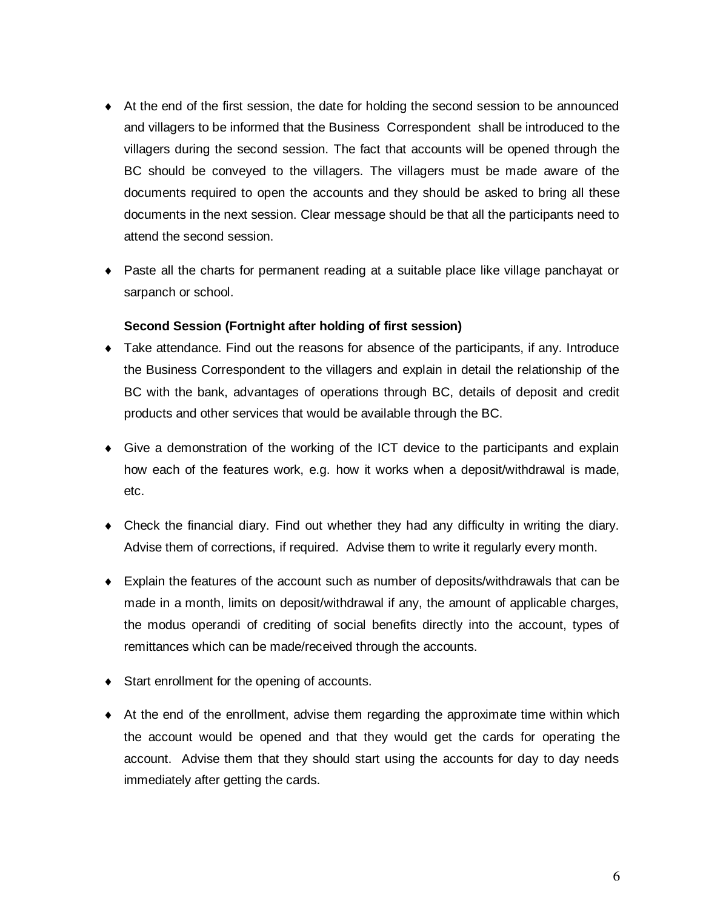- At the end of the first session, the date for holding the second session to be announced and villagers to be informed that the Business Correspondent shall be introduced to the villagers during the second session. The fact that accounts will be opened through the BC should be conveyed to the villagers. The villagers must be made aware of the documents required to open the accounts and they should be asked to bring all these documents in the next session. Clear message should be that all the participants need to attend the second session.
- Paste all the charts for permanent reading at a suitable place like village panchayat or sarpanch or school.

### **Second Session (Fortnight after holding of first session)**

- Take attendance. Find out the reasons for absence of the participants, if any. Introduce the Business Correspondent to the villagers and explain in detail the relationship of the BC with the bank, advantages of operations through BC, details of deposit and credit products and other services that would be available through the BC.
- Give a demonstration of the working of the ICT device to the participants and explain how each of the features work, e.g. how it works when a deposit/withdrawal is made, etc.
- Check the financial diary. Find out whether they had any difficulty in writing the diary. Advise them of corrections, if required. Advise them to write it regularly every month.
- Explain the features of the account such as number of deposits/withdrawals that can be made in a month, limits on deposit/withdrawal if any, the amount of applicable charges, the modus operandi of crediting of social benefits directly into the account, types of remittances which can be made/received through the accounts.
- Start enrollment for the opening of accounts.
- $\bullet$  At the end of the enrollment, advise them regarding the approximate time within which the account would be opened and that they would get the cards for operating the account. Advise them that they should start using the accounts for day to day needs immediately after getting the cards.